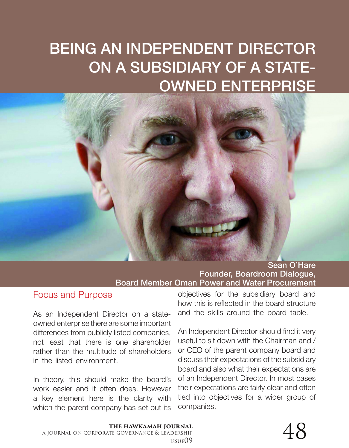# BEING AN INDEPENDENT DIRECTOR ON A SUBSIDIARY OF A STATE-OWNED ENTERPRISE

#### Sean O'Hare Founder, Boardroom Dialogue, Board Member Oman Power and Water Procurement

### Focus and Purpose

As an Independent Director on a stateowned enterprise there are some important differences from publicly listed companies, not least that there is one shareholder rather than the multitude of shareholders in the listed environment.

In theory, this should make the board's work easier and it often does. However a key element here is the clarity with which the parent company has set out its

objectives for the subsidiary board and how this is reflected in the board structure and the skills around the board table.

An Independent Director should find it very useful to sit down with the Chairman and / or CEO of the parent company board and discuss their expectations of the subsidiary board and also what their expectations are of an Independent Director. In most cases their expectations are fairly clear and often tied into objectives for a wider group of companies.

#### **the hawkamah journal** a journal on corporate governance & leadership

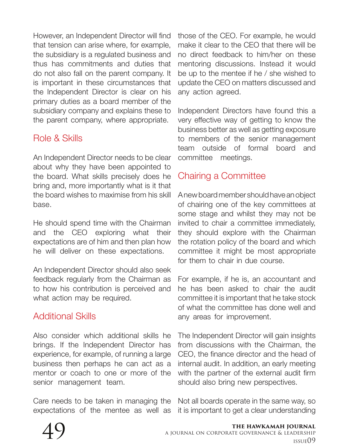However, an Independent Director will find that tension can arise where, for example, the subsidiary is a regulated business and thus has commitments and duties that do not also fall on the parent company. It is important in these circumstances that the Independent Director is clear on his primary duties as a board member of the subsidiary company and explains these to the parent company, where appropriate.

# Role & Skills

An Independent Director needs to be clear about why they have been appointed to the board. What skills precisely does he bring and, more importantly what is it that the board wishes to maximise from his skill base.

He should spend time with the Chairman and the CEO exploring what their expectations are of him and then plan how he will deliver on these expectations.

An Independent Director should also seek feedback regularly from the Chairman as to how his contribution is perceived and what action may be required.

# Additional Skills

Also consider which additional skills he brings. If the Independent Director has experience, for example, of running a large business then perhaps he can act as a mentor or coach to one or more of the senior management team.

Care needs to be taken in managing the expectations of the mentee as well as

those of the CEO. For example, he would make it clear to the CEO that there will be no direct feedback to him/her on these mentoring discussions. Instead it would be up to the mentee if he / she wished to update the CEO on matters discussed and any action agreed.

Independent Directors have found this a very effective way of getting to know the business better as well as getting exposure to members of the senior management team outside of formal board and committee meetings.

# Chairing a Committee

A new board member should have an object of chairing one of the key committees at some stage and whilst they may not be invited to chair a committee immediately, they should explore with the Chairman the rotation policy of the board and which committee it might be most appropriate for them to chair in due course.

For example, if he is, an accountant and he has been asked to chair the audit committee it is important that he take stock of what the committee has done well and any areas for improvement.

The Independent Director will gain insights from discussions with the Chairman, the CEO, the finance director and the head of internal audit. In addition, an early meeting with the partner of the external audit firm should also bring new perspectives.

Not all boards operate in the same way, so it is important to get a clear understanding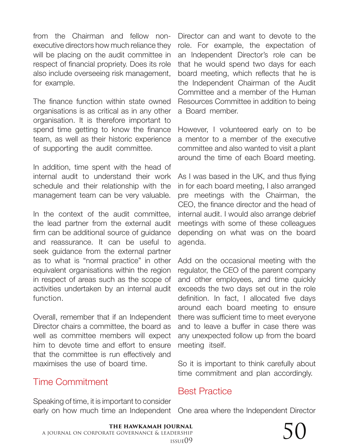from the Chairman and fellow nonexecutive directors how much reliance they will be placing on the audit committee in respect of financial propriety. Does its role also include overseeing risk management, for example.

The finance function within state owned organisations is as critical as in any other organisation. It is therefore important to spend time getting to know the finance team, as well as their historic experience of supporting the audit committee.

In addition, time spent with the head of internal audit to understand their work schedule and their relationship with the management team can be very valuable.

In the context of the audit committee, the lead partner from the external audit firm can be additional source of guidance and reassurance. It can be useful to seek guidance from the external partner as to what is "normal practice" in other equivalent organisations within the region in respect of areas such as the scope of activities undertaken by an internal audit function.

Overall, remember that if an Independent Director chairs a committee, the board as well as committee members will expect him to devote time and effort to ensure that the committee is run effectively and maximises the use of board time.

## Time Commitment

Speaking of time, it is important to consider

Director can and want to devote to the role. For example, the expectation of an Independent Director's role can be that he would spend two days for each board meeting, which reflects that he is the Independent Chairman of the Audit Committee and a member of the Human Resources Committee in addition to being a Board member.

However, I volunteered early on to be a mentor to a member of the executive committee and also wanted to visit a plant around the time of each Board meeting.

As I was based in the UK, and thus flying in for each board meeting, I also arranged pre meetings with the Chairman, the CEO, the finance director and the head of internal audit. I would also arrange debrief meetings with some of these colleagues depending on what was on the board agenda.

Add on the occasional meeting with the regulator, the CEO of the parent company and other employees, and time quickly exceeds the two days set out in the role definition. In fact, I allocated five days around each board meeting to ensure there was sufficient time to meet everyone and to leave a buffer in case there was any unexpected follow up from the board meeting itself.

So it is important to think carefully about time commitment and plan accordingly.

## Best Practice

early on how much time an Independent One area where the Independent Director



## **the hawkamah journal** a journal on corporate governance & leadership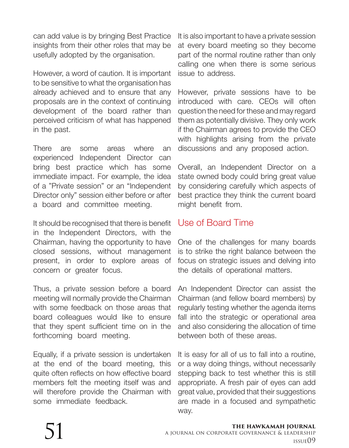can add value is by bringing Best Practice insights from their other roles that may be usefully adopted by the organisation.

However, a word of caution. It is important to be sensitive to what the organisation has already achieved and to ensure that any proposals are in the context of continuing development of the board rather than perceived criticism of what has happened in the past.

There are some areas where an experienced Independent Director can bring best practice which has some immediate impact. For example, the idea of a "Private session" or an "Independent Director only" session either before or after a board and committee meeting.

It should be recognised that there is benefit in the Independent Directors, with the Chairman, having the opportunity to have closed sessions, without management present, in order to explore areas of concern or greater focus.

Thus, a private session before a board meeting will normally provide the Chairman with some feedback on those areas that board colleagues would like to ensure that they spent sufficient time on in the forthcoming board meeting.

Equally, if a private session is undertaken at the end of the board meeting, this quite often reflects on how effective board members felt the meeting itself was and will therefore provide the Chairman with some immediate feedback.

It is also important to have a private session at every board meeting so they become part of the normal routine rather than only calling one when there is some serious issue to address.

However, private sessions have to be introduced with care. CEOs will often question the need for these and may regard them as potentially divisive. They only work if the Chairman agrees to provide the CEO with highlights arising from the private discussions and any proposed action.

Overall, an Independent Director on a state owned body could bring great value by considering carefully which aspects of best practice they think the current board might benefit from.

## Use of Board Time

One of the challenges for many boards is to strike the right balance between the focus on strategic issues and delving into the details of operational matters.

An Independent Director can assist the Chairman (and fellow board members) by regularly testing whether the agenda items fall into the strategic or operational area and also considering the allocation of time between both of these areas.

It is easy for all of us to fall into a routine, or a way doing things, without necessarily stepping back to test whether this is still appropriate. A fresh pair of eyes can add great value, provided that their suggestions are made in a focused and sympathetic way.